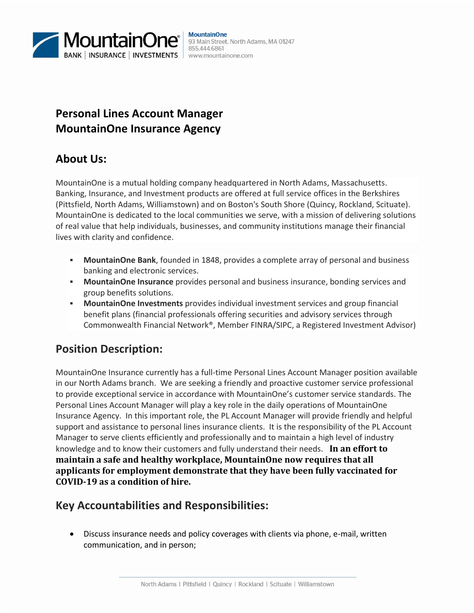

# **Personal Lines Account Manager MountainOne Insurance Agency**

## **About Us:**

MountainOne is a mutual holding company headquartered in North Adams, Massachusetts. Banking, Insurance, and Investment products are offered at full service offices in the Berkshires (Pittsfield, North Adams, Williamstown) and on Boston's South Shore (Quincy, Rockland, Scituate). MountainOne is dedicated to the local communities we serve, with a mission of delivering solutions of real value that help individuals, businesses, and community institutions manage their financial lives with clarity and confidence.

- **MountainOne Bank**, founded in 1848, provides a complete array of personal and business banking and electronic services.
- **MountainOne Insurance** provides personal and business insurance, bonding services and group benefits solutions.
- **MountainOne Investments** provides individual investment services and group financial benefit plans (financial professionals offering securities and advisory services through Commonwealth Financial Network®, Member FINRA/SIPC, a Registered Investment Advisor)

## **Position Description:**

MountainOne Insurance currently has a full-time Personal Lines Account Manager position available in our North Adams branch. We are seeking a friendly and proactive customer service professional to provide exceptional service in accordance with MountainOne's customer service standards. The Personal Lines Account Manager will play a key role in the daily operations of MountainOne Insurance Agency. In this important role, the PL Account Manager will provide friendly and helpful support and assistance to personal lines insurance clients. It is the responsibility of the PL Account Manager to serve clients efficiently and professionally and to maintain a high level of industry knowledge and to know their customers and fully understand their needs. **In an effort to maintain a safe and healthy workplace, MountainOne now requires that all applicants for employment demonstrate that they have been fully vaccinated for COVID-19 as a condition of hire.**

# **Key Accountabilities and Responsibilities:**

 Discuss insurance needs and policy coverages with clients via phone, e-mail, written communication, and in person;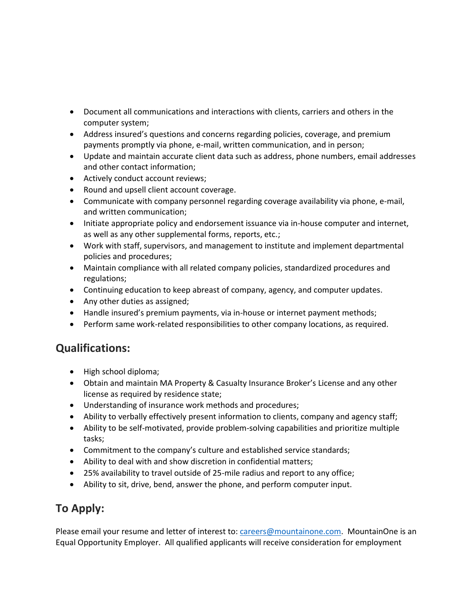- Document all communications and interactions with clients, carriers and others in the computer system;
- Address insured's questions and concerns regarding policies, coverage, and premium payments promptly via phone, e-mail, written communication, and in person;
- Update and maintain accurate client data such as address, phone numbers, email addresses and other contact information;
- Actively conduct account reviews;
- Round and upsell client account coverage.
- Communicate with company personnel regarding coverage availability via phone, e-mail, and written communication;
- Initiate appropriate policy and endorsement issuance via in-house computer and internet, as well as any other supplemental forms, reports, etc.;
- Work with staff, supervisors, and management to institute and implement departmental policies and procedures;
- Maintain compliance with all related company policies, standardized procedures and regulations;
- Continuing education to keep abreast of company, agency, and computer updates.
- Any other duties as assigned;
- Handle insured's premium payments, via in-house or internet payment methods;
- Perform same work-related responsibilities to other company locations, as required.

## **Qualifications:**

- High school diploma;
- Obtain and maintain MA Property & Casualty Insurance Broker's License and any other license as required by residence state;
- Understanding of insurance work methods and procedures;
- Ability to verbally effectively present information to clients, company and agency staff;
- Ability to be self-motivated, provide problem-solving capabilities and prioritize multiple tasks;
- Commitment to the company's culture and established service standards;
- Ability to deal with and show discretion in confidential matters;
- 25% availability to travel outside of 25-mile radius and report to any office;
- Ability to sit, drive, bend, answer the phone, and perform computer input.

# **To Apply:**

Please email your resume and letter of interest to: [careers@mountainone.com.](mailto:careers@mountainone.com) MountainOne is an Equal Opportunity Employer. All qualified applicants will receive consideration for employment